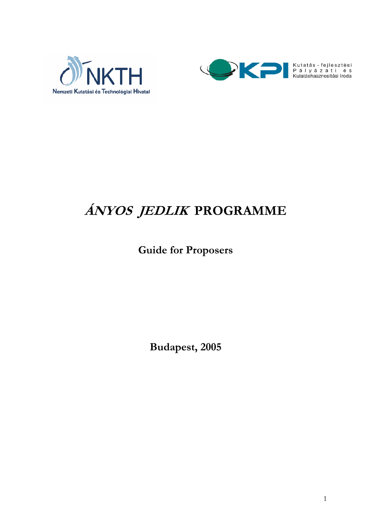



# **ÁNYOS JEDLIK PROGRAMME**

## **Guide for Proposers**

**Budapest, 2005**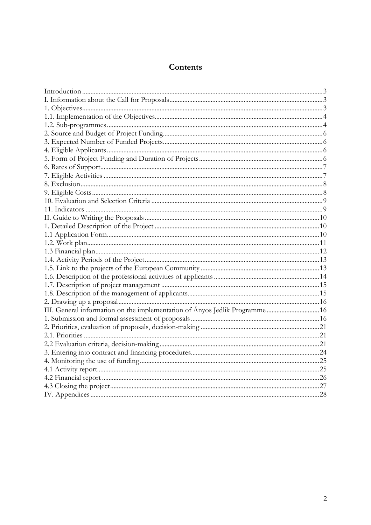## Contents

| III. General information on the implementation of Ányos Jedlik Programme16 |  |
|----------------------------------------------------------------------------|--|
|                                                                            |  |
|                                                                            |  |
|                                                                            |  |
|                                                                            |  |
|                                                                            |  |
|                                                                            |  |
|                                                                            |  |
|                                                                            |  |
|                                                                            |  |
|                                                                            |  |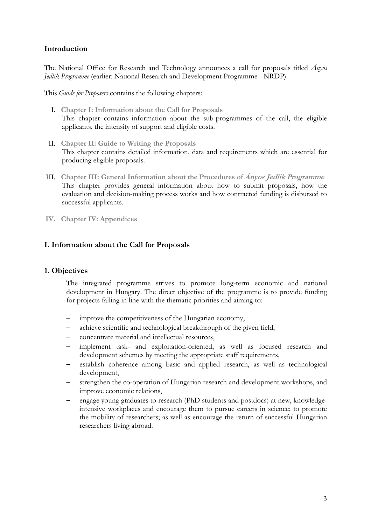## **Introduction**

The National Office for Research and Technology announces a call for proposals titled *Ányos Jedlik Programme* (earlier: National Research and Development Programme - NRDP).

This *Guide for Proposers* contains the following chapters:

- I. **Chapter I: Information about the Call for Proposals** This chapter contains information about the sub-programmes of the call, the eligible applicants, the intensity of support and eligible costs.
- II. **Chapter II: Guide to Writing the Proposals** This chapter contains detailed information, data and requirements which are essential for producing eligible proposals.
- III. **Chapter III: General Information about the Procedures of Ányos Jedlik Programme** This chapter provides general information about how to submit proposals, how the evaluation and decision-making process works and how contracted funding is disbursed to successful applicants.
- **IV. Chapter IV: Appendices**

## **I. Information about the Call for Proposals**

#### **1. Objectives**

The integrated programme strives to promote long-term economic and national development in Hungary. The direct objective of the programme is to provide funding for projects falling in line with the thematic priorities and aiming to:

- improve the competitiveness of the Hungarian economy,
- achieve scientific and technological breakthrough of the given field,
- concentrate material and intellectual resources,
- implement task- and exploitation-oriented, as well as focused research and development schemes by meeting the appropriate staff requirements,
- establish coherence among basic and applied research, as well as technological development,
- strengthen the co-operation of Hungarian research and development workshops, and improve economic relations,
- engage young graduates to research (PhD students and postdocs) at new, knowledgeintensive workplaces and encourage them to pursue careers in science; to promote the mobility of researchers; as well as encourage the return of successful Hungarian researchers living abroad.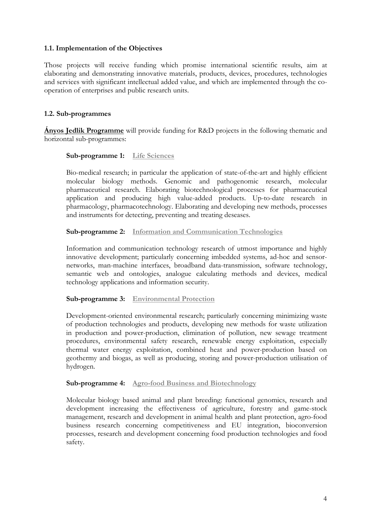## **1.1. Implementation of the Objectives**

Those projects will receive funding which promise international scientific results, aim at elaborating and demonstrating innovative materials, products, devices, procedures, technologies and services with significant intellectual added value, and which are implemented through the cooperation of enterprises and public research units.

## **1.2. Sub-programmes**

**Ányos Jedlik Programme** will provide funding for R&D projects in the following thematic and horizontal sub-programmes:

#### **Sub-programme 1: Life Sciences**

Bio-medical research; in particular the application of state-of-the-art and highly efficient molecular biology methods. Genomic and pathogenomic research, molecular pharmaceutical research. Elaborating biotechnological processes for pharmaceutical application and producing high value-added products. Up-to-date research in pharmacology, pharmacotechnology. Elaborating and developing new methods, processes and instruments for detecting, preventing and treating deseases.

#### **Sub-programme 2: Information and Communication Technologies**

Information and communication technology research of utmost importance and highly innovative development; particularly concerning imbedded systems, ad-hoc and sensornetworks, man-machine interfaces, broadband data-transmission, software technology, semantic web and ontologies, analogue calculating methods and devices, medical technology applications and information security.

#### **Sub-programme 3: Environmental Protection**

Development-oriented environmental research; particularly concerning minimizing waste of production technologies and products, developing new methods for waste utilization in production and power-production, elimination of pollution, new sewage treatment procedures, environmental safety research, renewable energy exploitation, especially thermal water energy exploitation, combined heat and power-production based on geothermy and biogas, as well as producing, storing and power-production utilisation of hydrogen.

#### **Sub-programme 4: Agro-food Business and Biotechnology**

Molecular biology based animal and plant breeding: functional genomics, research and development increasing the effectiveness of agriculture, forestry and game-stock management, research and development in animal health and plant protection, agro-food business research concerning competitiveness and EU integration, bioconversion processes, research and development concerning food production technologies and food safety.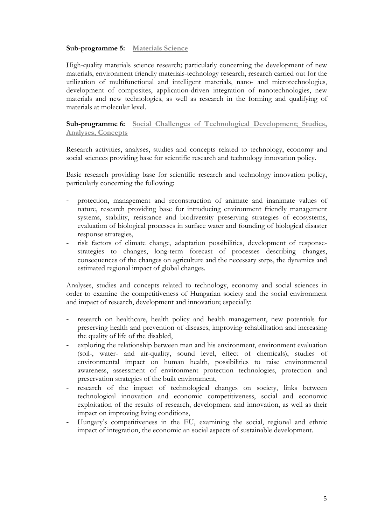#### **Sub-programme 5: Materials Science**

High-quality materials science research; particularly concerning the development of new materials, environment friendly materials-technology research, research carried out for the utilization of multifunctional and intelligent materials, nano- and microtechnologies, development of composites, application-driven integration of nanotechnologies, new materials and new technologies, as well as research in the forming and qualifying of materials at molecular level.

## **Sub-programme 6: Social Challenges of Technological Development; Studies, Analyses, Concepts**

Research activities, analyses, studies and concepts related to technology, economy and social sciences providing base for scientific research and technology innovation policy.

Basic research providing base for scientific research and technology innovation policy, particularly concerning the following:

- protection, management and reconstruction of animate and inanimate values of nature, research providing base for introducing environment friendly management systems, stability, resistance and biodiversity preserving strategies of ecosystems, evaluation of biological processes in surface water and founding of biological disaster response strategies,
- risk factors of climate change, adaptation possibilities, development of responsestrategies to changes, long-term forecast of processes describing changes, consequences of the changes on agriculture and the necessary steps, the dynamics and estimated regional impact of global changes.

Analyses, studies and concepts related to technology, economy and social sciences in order to examine the competitiveness of Hungarian society and the social environment and impact of research, development and innovation; especially:

- research on healthcare, health policy and health management, new potentials for preserving health and prevention of diseases, improving rehabilitation and increasing the quality of life of the disabled,
- exploring the relationship between man and his environment, environment evaluation (soil-, water- and air-quality, sound level, effect of chemicals), studies of environmental impact on human health, possibilities to raise environmental awareness, assessment of environment protection technologies, protection and preservation strategies of the built environment,
- research of the impact of technological changes on society, links between technological innovation and economic competitiveness, social and economic exploitation of the results of research, development and innovation, as well as their impact on improving living conditions,
- Hungary's competitiveness in the EU, examining the social, regional and ethnic impact of integration, the economic an social aspects of sustainable development.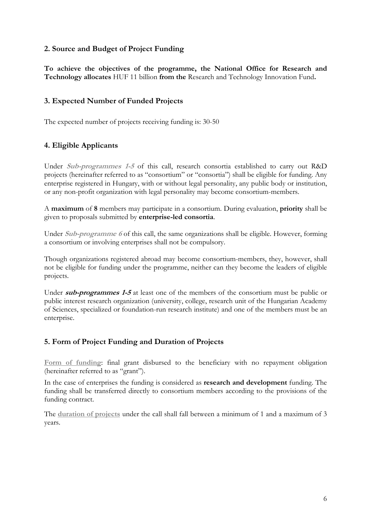## **2. Source and Budget of Project Funding**

**To achieve the objectives of the programme, the National Office for Research and Technology allocates** HUF 11 billion **from the** Research and Technology Innovation Fund**.**

## **3. Expected Number of Funded Projects**

The expected number of projects receiving funding is: 30-50

## **4. Eligible Applicants**

Under **Sub-programmes 1-5** of this call, research consortia established to carry out R&D projects (hereinafter referred to as "consortium" or "consortia") shall be eligible for funding. Any enterprise registered in Hungary, with or without legal personality, any public body or institution, or any non-profit organization with legal personality may become consortium-members.

A **maximum** of **8** members may participate in a consortium. During evaluation, **priority** shall be given to proposals submitted by **enterprise-led consortia**.

Under **Sub-programme 6** of this call, the same organizations shall be eligible. However, forming a consortium or involving enterprises shall not be compulsory.

Though organizations registered abroad may become consortium-members, they, however, shall not be eligible for funding under the programme, neither can they become the leaders of eligible projects.

Under **sub-programmes 1-5** at least one of the members of the consortium must be public or public interest research organization (university, college, research unit of the Hungarian Academy of Sciences, specialized or foundation-run research institute) and one of the members must be an enterprise.

## **5. Form of Project Funding and Duration of Projects**

**Form of funding**: final grant disbursed to the beneficiary with no repayment obligation (hereinafter referred to as "grant").

In the case of enterprises the funding is considered as **research and development** funding. The funding shall be transferred directly to consortium members according to the provisions of the funding contract.

The **duration of projects** under the call shall fall between a minimum of 1 and a maximum of 3 years.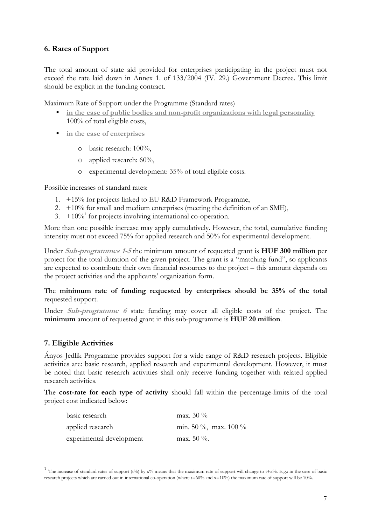## **6. Rates of Support**

The total amount of state aid provided for enterprises participating in the project must not exceed the rate laid down in Annex 1. of 133/2004 (IV. 29.) Government Decree. This limit should be explicit in the funding contract.

Maximum Rate of Support under the Programme (Standard rates)

- **in the case of public bodies and non-profit organizations with legal personality**  100% of total eligible costs,
- **in the case of enterprises**
	- o basic research: 100%,
	- o applied research: 60%,
	- o experimental development: 35% of total eligible costs.

Possible increases of standard rates:

- 1. +15% for projects linked to EU R&D Framework Programme,
- 2.  $+10\%$  for small and medium enterprises (meeting the definition of an SME),
- 3.  $+10\%$ <sup>1</sup> for projects involving international co-operation.

More than one possible increase may apply cumulatively. However, the total, cumulative funding intensity must not exceed 75% for applied research and 50% for experimental development.

Under **Sub-programmes 1-5** the minimum amount of requested grant is **HUF 300 million** per project for the total duration of the given project. The grant is a "matching fund", so applicants are expected to contribute their own financial resources to the project – this amount depends on the project activities and the applicants' organization form.

#### The **minimum rate of funding requested by enterprises should be 35% of the total** requested support.

Under **Sub-programme 6** state funding may cover all eligible costs of the project. The **minimum** amount of requested grant in this sub-programme is **HUF 20 million**.

#### **7. Eligible Activities**

Ányos Jedlik Programme provides support for a wide range of R&D research projects. Eligible activities are: basic research, applied research and experimental development. However, it must be noted that basic research activities shall only receive funding together with related applied research activities.

The **cost-rate for each type of activity** should fall within the percentage-limits of the total project cost indicated below:

| basic research           | max. $30\%$           |
|--------------------------|-----------------------|
| applied research         | min. 50 %, max. 100 % |
| experimental development | max. $50\%$ .         |

<sup>&</sup>lt;sup>1</sup> The increase of standard rates of support (t%) by  $x\%$  means that the maximum rate of support will change to t+x%. E.g.: in the case of basic research projects which are carried out in international co-operation (where t=60% and x=10%) the maximum rate of support will be 70%.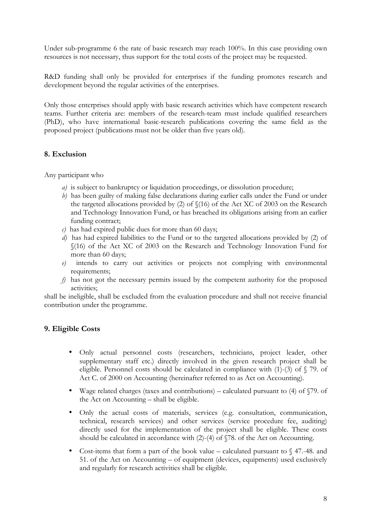Under sub-programme 6 the rate of basic research may reach 100%. In this case providing own resources is not necessary, thus support for the total costs of the project may be requested.

R&D funding shall only be provided for enterprises if the funding promotes research and development beyond the regular activities of the enterprises.

Only those enterprises should apply with basic research activities which have competent research teams. Further criteria are: members of the research-team must include qualified researchers (PhD), who have international basic-research publications covering the same field as the proposed project (publications must not be older than five years old).

## **8. Exclusion**

Any participant who

- *a)* is subject to bankruptcy or liquidation proceedings, or dissolution procedure;
- *b*) has been guilty of making false declarations during earlier calls under the Fund or under the targeted allocations provided by (2) of §(16) of the Act XC of 2003 on the Research and Technology Innovation Fund, or has breached its obligations arising from an earlier funding contract;
- *c)* has had expired public dues for more than 60 days;
- *d)* has had expired liabilities to the Fund or to the targeted allocations provided by (2) of §(16) of the Act XC of 2003 on the Research and Technology Innovation Fund for more than 60 days;
- *e)* intends to carry out activities or projects not complying with environmental requirements;
- *f)* has not got the necessary permits issued by the competent authority for the proposed activities;

shall be ineligible, shall be excluded from the evaluation procedure and shall not receive financial contribution under the programme.

## **9. Eligible Costs**

- Only actual personnel costs (researchers, technicians, project leader, other supplementary staff etc.) directly involved in the given research project shall be eligible. Personnel costs should be calculated in compliance with  $(1)-(3)$  of  $\sqrt{ }79$ . of Act C. of 2000 on Accounting (hereinafter referred to as Act on Accounting).
- Wage related charges (taxes and contributions) calculated pursuant to (4) of  $\sqrt{79}$ . of the Act on Accounting – shall be eligible.
- Only the actual costs of materials, services (e.g. consultation, communication, technical, research services) and other services (service procedure fee, auditing) directly used for the implementation of the project shall be eligible. These costs should be calculated in accordance with (2)-(4) of §78. of the Act on Accounting.
- Cost-items that form a part of the book value calculated pursuant to  $\sqrt{47}$ . 48. and 51. of the Act on Accounting – of equipment (devices, equipments) used exclusively and regularly for research activities shall be eligible.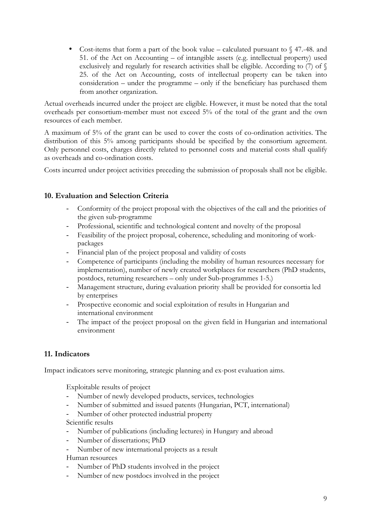• Cost-items that form a part of the book value – calculated pursuant to  $\sqrt{9}$  47.-48. and 51. of the Act on Accounting – of intangible assets (e.g. intellectual property) used exclusively and regularly for research activities shall be eligible. According to (7) of § 25. of the Act on Accounting, costs of intellectual property can be taken into consideration – under the programme – only if the beneficiary has purchased them from another organization.

Actual overheads incurred under the project are eligible. However, it must be noted that the total overheads per consortium-member must not exceed 5% of the total of the grant and the own resources of each member.

A maximum of 5% of the grant can be used to cover the costs of co-ordination activities. The distribution of this 5% among participants should be specified by the consortium agreement. Only personnel costs, charges directly related to personnel costs and material costs shall qualify as overheads and co-ordination costs.

Costs incurred under project activities preceding the submission of proposals shall not be eligible.

## **10. Evaluation and Selection Criteria**

- Conformity of the project proposal with the objectives of the call and the priorities of the given sub-programme
- Professional, scientific and technological content and novelty of the proposal
- Feasibility of the project proposal, coherence, scheduling and monitoring of workpackages
- Financial plan of the project proposal and validity of costs
- Competence of participants (including the mobility of human resources necessary for implementation), number of newly created workplaces for researchers (PhD students, postdocs, returning researchers – only under Sub-programmes 1-5.)
- Management structure, during evaluation priority shall be provided for consortia led by enterprises
- Prospective economic and social exploitation of results in Hungarian and international environment
- The impact of the project proposal on the given field in Hungarian and international environment

## **11. Indicators**

Impact indicators serve monitoring, strategic planning and ex-post evaluation aims.

Exploitable results of project

- Number of newly developed products, services, technologies
- Number of submitted and issued patents (Hungarian, PCT, international)
- Number of other protected industrial property

Scientific results

- Number of publications (including lectures) in Hungary and abroad
- Number of dissertations; PhD
- Number of new international projects as a result

Human resources

- Number of PhD students involved in the project
- Number of new postdocs involved in the project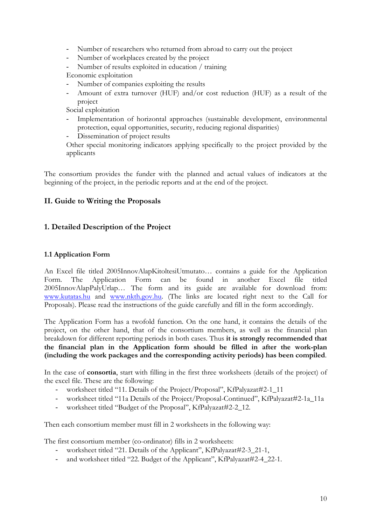- Number of researchers who returned from abroad to carry out the project
- Number of workplaces created by the project
- Number of results exploited in education / training
- Economic exploitation
- Number of companies exploiting the results
- Amount of extra turnover (HUF) and/or cost reduction (HUF) as a result of the project

Social exploitation

- Implementation of horizontal approaches (sustainable development, environmental protection, equal opportunities, security, reducing regional disparities)
- Dissemination of project results

Other special monitoring indicators applying specifically to the project provided by the applicants

The consortium provides the funder with the planned and actual values of indicators at the beginning of the project, in the periodic reports and at the end of the project.

## **II. Guide to Writing the Proposals**

## **1. Detailed Description of the Project**

## **1.1 Application Form**

An Excel file titled 2005InnovAlapKitoltesiUtmutato… contains a guide for the Application Form. The Application Form can be found in another Excel file titled 2005InnovAlapPalyUrlap… The form and its guide are available for download from: www.kutatas.hu and www.nkth.gov.hu. (The links are located right next to the Call for Proposals). Please read the instructions of the guide carefully and fill in the form accordingly.

The Application Form has a twofold function. On the one hand, it contains the details of the project, on the other hand, that of the consortium members, as well as the financial plan breakdown for different reporting periods in both cases. Thus **it is strongly recommended that the financial plan in the Application form should be filled in after the work-plan (including the work packages and the corresponding activity periods) has been compiled**.

In the case of **consortia**, start with filling in the first three worksheets (details of the project) of the excel file. These are the following:

- worksheet titled "11. Details of the Project/Proposal", KfPalyazat#2-1\_11
- worksheet titled "11a Details of the Project/Proposal-Continued", KfPalyazat#2-1a\_11a
- worksheet titled "Budget of the Proposal", KfPalyazat#2-2\_12.

Then each consortium member must fill in 2 worksheets in the following way:

The first consortium member (co-ordinator) fills in 2 worksheets:

- worksheet titled "21. Details of the Applicant", KfPalyazat#2-3\_21-1,
- and worksheet titled "22. Budget of the Applicant", KfPalyazat#2-4\_22-1.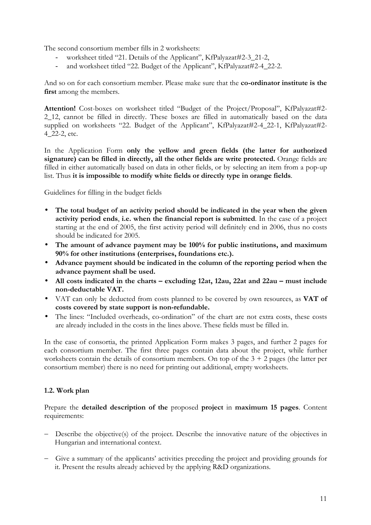The second consortium member fills in 2 worksheets:

- worksheet titled "21. Details of the Applicant", KfPalyazat#2-3\_21-2,
- and worksheet titled "22. Budget of the Applicant", KfPalyazat#2-4\_22-2.

And so on for each consortium member. Please make sure that the **co-ordinator institute is the first** among the members.

Attention! Cost-boxes on worksheet titled "Budget of the Project/Proposal", KfPalyazat#2-2\_12, cannot be filled in directly. These boxes are filled in automatically based on the data supplied on worksheets "22. Budget of the Applicant", KfPalyazat#2-4\_22-1, KfPalyazat#2- 4\_22-2, etc.

In the Application Form **only the yellow and green fields (the latter for authorized signature) can be filled in directly, all the other fields are write protected.** Orange fields are filled in either automatically based on data in other fields, or by selecting an item from a pop-up list. Thus **it is impossible to modify white fields or directly type in orange fields**.

Guidelines for filling in the budget fields

- **The total budget of an activity period should be indicated in the year when the given activity period ends**, **i.e. when the financial report is submitted**. In the case of a project starting at the end of 2005, the first activity period will definitely end in 2006, thus no costs should be indicated for 2005.
- **The amount of advance payment may be 100% for public institutions, and maximum 90% for other institutions (enterprises, foundations etc.).**
- **Advance payment should be indicated in the column of the reporting period when the advance payment shall be used.**
- **All costs indicated in the charts excluding 12at, 12au, 22at and 22au must include non-deductable VAT.**
- VAT can only be deducted from costs planned to be covered by own resources, as **VAT of costs covered by state support is non-refundable.**
- The lines: "Included overheads, co-ordination" of the chart are not extra costs, these costs are already included in the costs in the lines above. These fields must be filled in.

In the case of consortia, the printed Application Form makes 3 pages, and further 2 pages for each consortium member. The first three pages contain data about the project, while further worksheets contain the details of consortium members. On top of the  $3 + 2$  pages (the latter per consortium member) there is no need for printing out additional, empty worksheets.

#### **1.2. Work plan**

Prepare the **detailed description of the** proposed **project** in **maximum 15 pages**. Content requirements:

- Describe the objective(s) of the project. Describe the innovative nature of the objectives in Hungarian and international context.
- Give a summary of the applicants' activities preceding the project and providing grounds for it. Present the results already achieved by the applying R&D organizations.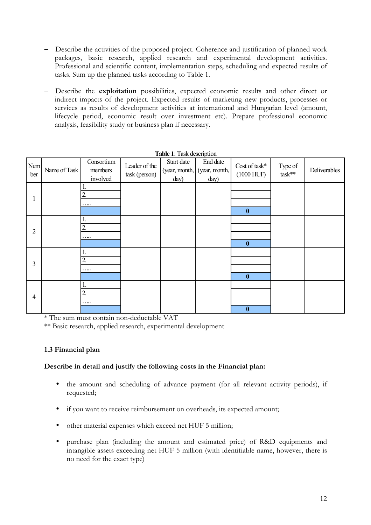- Describe the activities of the proposed project. Coherence and justification of planned work packages, basic research, applied research and experimental development activities. Professional and scientific content, implementation steps, scheduling and expected results of tasks. Sum up the planned tasks according to Table 1.
- Describe the **exploitation** possibilities, expected economic results and other direct or indirect impacts of the project. Expected results of marketing new products, processes or services as results of development activities at international and Hungarian level (amount, lifecycle period, economic result over investment etc). Prepare professional economic analysis, feasibility study or business plan if necessary.

|                | <b>TADIC 1.</b> LASK UCSCILIDITUM |                                   |                                |                    |                                                 |                               |                     |              |
|----------------|-----------------------------------|-----------------------------------|--------------------------------|--------------------|-------------------------------------------------|-------------------------------|---------------------|--------------|
| Num<br>ber     | Name of Task                      | Consortium<br>members<br>involved | Leader of the<br>task (person) | Start date<br>day) | End date<br>(year, month, (year, month,<br>day) | Cost of task*<br>$(1000$ HUF) | Type of<br>$task**$ | Deliverables |
| $\mathbf{1}$   |                                   | 2.<br>                            |                                |                    |                                                 | $\boldsymbol{0}$              |                     |              |
| $\overline{2}$ |                                   | 2.<br>$\cdots$                    |                                |                    |                                                 | $\boldsymbol{0}$              |                     |              |
| $\overline{3}$ |                                   | 2.<br>                            |                                |                    |                                                 | $\boldsymbol{0}$              |                     |              |
| $\overline{4}$ |                                   | 1.<br>2.<br>                      |                                |                    |                                                 | $\bf{0}$                      |                     |              |

**Table 1**: Task description

\* The sum must contain non-deductable VAT

\*\* Basic research, applied research, experimental development

## **1.3 Financial plan**

## **Describe in detail and justify the following costs in the Financial plan:**

- the amount and scheduling of advance payment (for all relevant activity periods), if requested;
- if you want to receive reimbursement on overheads, its expected amount;
- other material expenses which exceed net HUF 5 million;
- purchase plan (including the amount and estimated price) of R&D equipments and intangible assets exceeding net HUF 5 million (with identifiable name, however, there is no need for the exact type)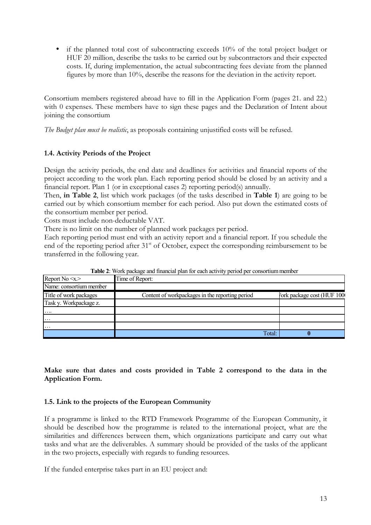• if the planned total cost of subcontracting exceeds 10% of the total project budget or HUF 20 million, describe the tasks to be carried out by subcontractors and their expected costs. If, during implementation, the actual subcontracting fees deviate from the planned figures by more than 10%, describe the reasons for the deviation in the activity report.

Consortium members registered abroad have to fill in the Application Form (pages 21. and 22.) with 0 expenses. These members have to sign these pages and the Declaration of Intent about joining the consortium

*The Budget plan must be realistic*, as proposals containing unjustified costs will be refused.

## **1.4. Activity Periods of the Project**

Design the activity periods, the end date and deadlines for activities and financial reports of the project according to the work plan. Each reporting period should be closed by an activity and a financial report. Plan 1 (or in exceptional cases 2) reporting period(s) annually.

Then, **in Table 2**, list which work packages (of the tasks described in **Table 1**) are going to be carried out by which consortium member for each period. Also put down the estimated costs of the consortium member per period.

Costs must include non-deductable VAT.

There is no limit on the number of planned work packages per period.

Each reporting period must end with an activity report and a financial report. If you schedule the end of the reporting period after 31<sup>st</sup> of October, expect the corresponding reimbursement to be transferred in the following year.

| Report $No \ll x$       | Time of Report:                                 |                           |
|-------------------------|-------------------------------------------------|---------------------------|
| Name: consortium member |                                                 |                           |
| Title of work packages  | Content of workpackages in the reporting period | ork package cost (HUF 100 |
| Task y. Workpackage z.  |                                                 |                           |
| $\cdots$                |                                                 |                           |
| $\cdot \cdot \cdot$     |                                                 |                           |
| $\cdots$                |                                                 |                           |
|                         | Total:                                          |                           |

**Table 2**: Work package and financial plan for each activity period per consortium member

**Make sure that dates and costs provided in Table 2 correspond to the data in the Application Form.**

## **1.5. Link to the projects of the European Community**

If a programme is linked to the RTD Framework Programme of the European Community, it should be described how the programme is related to the international project, what are the similarities and differences between them, which organizations participate and carry out what tasks and what are the deliverables. A summary should be provided of the tasks of the applicant in the two projects, especially with regards to funding resources.

If the funded enterprise takes part in an EU project and: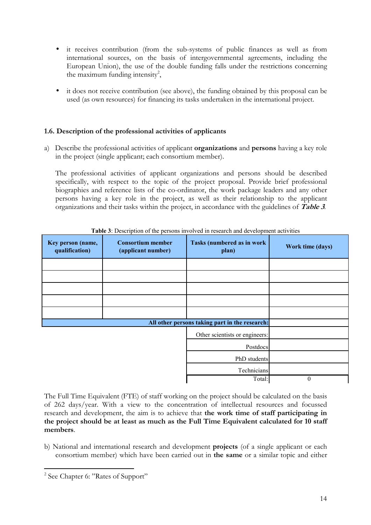- it receives contribution (from the sub-systems of public finances as well as from international sources, on the basis of intergovernmental agreements, including the European Union), the use of the double funding falls under the restrictions concerning the maximum funding intensity<sup>2</sup>,
- it does not receive contribution (see above), the funding obtained by this proposal can be used (as own resources) for financing its tasks undertaken in the international project.

## **1.6. Description of the professional activities of applicants**

a) Describe the professional activities of applicant **organizations** and **persons** having a key role in the project (single applicant; each consortium member).

The professional activities of applicant organizations and persons should be described specifically, with respect to the topic of the project proposal. Provide brief professional biographies and reference lists of the co-ordinator, the work package leaders and any other persons having a key role in the project, as well as their relationship to the applicant organizations and their tasks within the project, in accordance with the guidelines of **Table 3***.*

| Key person (name,<br>qualification) | <b>Consortium member</b><br>(applicant number) | Tasks (numbered as in work<br>plan)            | Work time (days) |
|-------------------------------------|------------------------------------------------|------------------------------------------------|------------------|
|                                     |                                                |                                                |                  |
|                                     |                                                |                                                |                  |
|                                     |                                                |                                                |                  |
|                                     |                                                |                                                |                  |
|                                     |                                                |                                                |                  |
|                                     |                                                | All other persons taking part in the research: |                  |
|                                     |                                                | Other scientists or engineers:                 |                  |
|                                     |                                                | Postdocs                                       |                  |
|                                     |                                                | PhD students                                   |                  |
|                                     |                                                | Technicians                                    |                  |
|                                     |                                                | Total:                                         | 0                |

**Table 3**: Description of the persons involved in research and development activities

The Full Time Equivalent (FTE) of staff working on the project should be calculated on the basis of 262 days/year. With a view to the concentration of intellectual resources and focussed research and development, the aim is to achieve that **the work time of staff participating in the project should be at least as much as the Full Time Equivalent calculated for 10 staff members**.

b) National and international research and development **projects** (of a single applicant or each consortium member) which have been carried out in **the same** or a similar topic and either

<sup>&</sup>lt;sup>2</sup> See Chapter 6: "Rates of Support"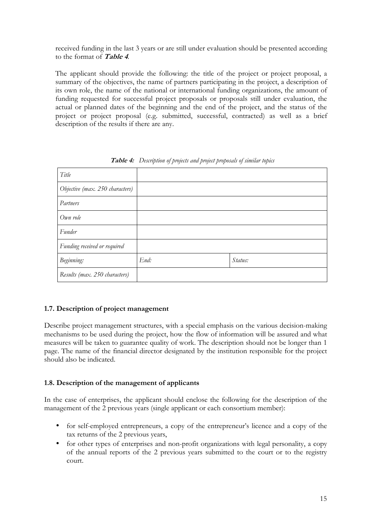received funding in the last 3 years or are still under evaluation should be presented according to the format of **Table 4**.

The applicant should provide the following: the title of the project or project proposal, a summary of the objectives, the name of partners participating in the project, a description of its own role, the name of the national or international funding organizations, the amount of funding requested for successful project proposals or proposals still under evaluation, the actual or planned dates of the beginning and the end of the project, and the status of the project or project proposal (e.g. submitted, successful, contracted) as well as a brief description of the results if there are any.

| Title                           |      |         |
|---------------------------------|------|---------|
| Objective (max. 250 characters) |      |         |
| Partners                        |      |         |
| Own role                        |      |         |
| Funder                          |      |         |
| Funding received or required    |      |         |
| Beginning:                      | End: | Status: |
| Results (max. 250 characters)   |      |         |

**Table 4:** *Description of projects and project proposals of similar topics* 

## **1.7. Description of project management**

Describe project management structures, with a special emphasis on the various decision-making mechanisms to be used during the project, how the flow of information will be assured and what measures will be taken to guarantee quality of work. The description should not be longer than 1 page. The name of the financial director designated by the institution responsible for the project should also be indicated.

## **1.8. Description of the management of applicants**

In the case of enterprises, the applicant should enclose the following for the description of the management of the 2 previous years (single applicant or each consortium member):

- for self-employed entrepreneurs, a copy of the entrepreneur's licence and a copy of the tax returns of the 2 previous years,
- for other types of enterprises and non-profit organizations with legal personality, a copy of the annual reports of the 2 previous years submitted to the court or to the registry court.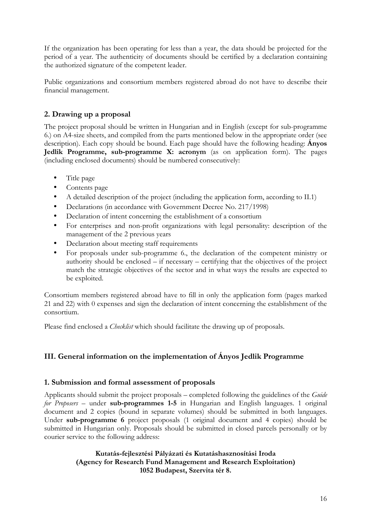If the organization has been operating for less than a year, the data should be projected for the period of a year. The authenticity of documents should be certified by a declaration containing the authorized signature of the competent leader.

Public organizations and consortium members registered abroad do not have to describe their financial management.

## **2. Drawing up a proposal**

The project proposal should be written in Hungarian and in English (except for sub-programme 6.) on A4-size sheets, and compiled from the parts mentioned below in the appropriate order (see description). Each copy should be bound. Each page should have the following heading: **Ányos Jedlik Programme, sub-programme X: acronym** (as on application form). The pages (including enclosed documents) should be numbered consecutively:

- Title page
- Contents page
- A detailed description of the project (including the application form, according to II.1)
- Declarations (in accordance with Government Decree No. 217/1998)
- Declaration of intent concerning the establishment of a consortium
- For enterprises and non-profit organizations with legal personality: description of the management of the 2 previous years
- Declaration about meeting staff requirements
- For proposals under sub-programme 6., the declaration of the competent ministry or authority should be enclosed – if necessary – certifying that the objectives of the project match the strategic objectives of the sector and in what ways the results are expected to be exploited.

Consortium members registered abroad have to fill in only the application form (pages marked 21 and 22) with 0 expenses and sign the declaration of intent concerning the establishment of the consortium.

Please find enclosed a *Checklist* which should facilitate the drawing up of proposals.

## **III. General information on the implementation of Ányos Jedlik Programme**

## **1. Submission and formal assessment of proposals**

Applicants should submit the project proposals – completed following the guidelines of the *Guide for Proposers* – under **sub-programmes 1-5** in Hungarian and English languages. 1 original document and 2 copies (bound in separate volumes) should be submitted in both languages. Under **sub-programme 6** project proposals (1 original document and 4 copies) should be submitted in Hungarian only. Proposals should be submitted in closed parcels personally or by courier service to the following address:

## **Kutatás-fejlesztési Pályázati és Kutatáshasznosítási Iroda (Agency for Research Fund Management and Research Exploitation) 1052 Budapest, Szervita tér 8.**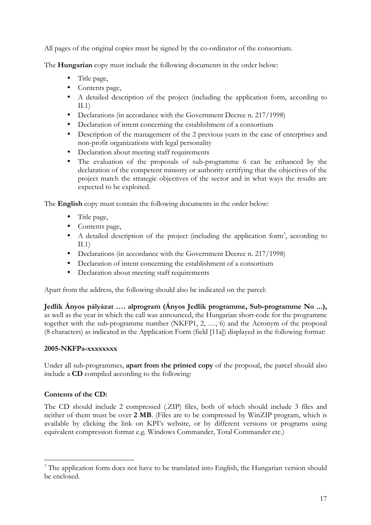All pages of the original copies must be signed by the co-ordinator of the consortium.

The **Hungarian** copy must include the following documents in the order below:

- Title page,
- Contents page,
- A detailed description of the project (including the application form, according to II.1)
- Declarations (in accordance with the Government Decree n. 217/1998)
- Declaration of intent concerning the establishment of a consortium
- Description of the management of the 2 previous years in the case of enterprises and non-profit organizations with legal personality
- Declaration about meeting staff requirements
- The evaluation of the proposals of sub-programme 6 can be enhanced by the declaration of the competent ministry or authority certifying that the objectives of the project match the strategic objectives of the sector and in what ways the results are expected to be exploited.

The **English** copy must contain the following documents in the order below:

- Title page,
- Contents page,
- A detailed description of the project (including the application form<sup>3</sup>, according to II.1)
- Declarations (in accordance with the Government Decree n. 217/1998)
- Declaration of intent concerning the establishment of a consortium
- Declaration about meeting staff requirements

Apart from the address, the following should also be indicated on the parcel:

**Jedlik Ányos pályázat …. alprogram (Ányos Jedlik programme, Sub-programme No ...),** as well as the year in which the call was announced, the Hungarian short-code for the programme together with the sub-programme number (NKFP1, 2, …, 6) and the Acronym of the proposal (8 characters) as indicated in the Application Form (field [11a]) displayed in the following format:

## **2005-NKFPa-xxxxxxxx**

Under all sub-programmes, **apart from the printed copy** of the proposal, the parcel should also include a **CD** compiled according to the following:

## **Contents of the CD:**

The CD should include 2 compressed (.ZIP) files, both of which should include 3 files and neither of them must be over **2 MB**. (Files are to be compressed by WinZIP program, which is available by clicking the link on KPI's website, or by different versions or programs using equivalent compression format e.g. Windows Commander, Total Commander etc.)

<sup>&</sup>lt;sup>3</sup> The application form does not have to be translated into English, the Hungarian version should be enclosed.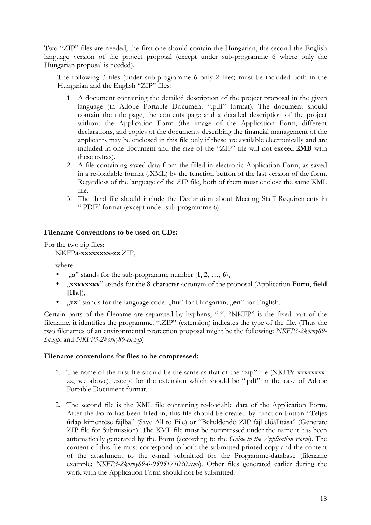Two "ZIP" files are needed, the first one should contain the Hungarian, the second the English language version of the project proposal (except under sub-programme 6 where only the Hungarian proposal is needed).

The following 3 files (under sub-programme 6 only 2 files) must be included both in the Hungarian and the English "ZIP" files:

- 1. A document containing the detailed description of the project proposal in the given language (in Adobe Portable Document ".pdf" format). The document should contain the title page, the contents page and a detailed description of the project without the Application Form (the image of the Application Form, different declarations, and copies of the documents describing the financial management of the applicants may be enclosed in this file only if these are available electronically and are included in one document and the size of the "ZIP" file will not exceed **2MB** with these extras).
- 2. A file containing saved data from the filled-in electronic Application Form, as saved in a re-loadable format (.XML) by the function button of the last version of the form. Regardless of the language of the ZIP file, both of them must enclose the same XML file.
- 3. The third file should include the Declaration about Meeting Staff Requirements in ".PDF" format (except under sub-programme 6).

#### **Filename Conventions to be used on CDs:**

For the two zip files:

NKFP**a**-**xxxxxxxx**-**zz**.ZIP,

where

- $n$ <sup>"</sup> stands for the sub-programme number  $(1, 2, ..., 6)$ ,
- "**xxxxxxxx**" stands for the 8-character acronym of the proposal (Application **Form**, **field [11a]**),
- "zz" stands for the language code: "hu" for Hungarian, "en" for English.

Certain parts of the filename are separated by hyphens, "-". "NKFP" is the fixed part of the filename, it identifies the programme. ".ZIP" (extension) indicates the type of the file. (Thus the two filenames of an environmental protection proposal might be the following: *NKFP3-2korny89 hu.zip*, and *NKFP3-2korny89-en.zip*)

#### **Filename conventions for files to be compressed:**

- 1. The name of the first file should be the same as that of the "zip" file (NKFPa-xxxxxxxxzz, see above), except for the extension which should be ".pdf" in the case of Adobe Portable Document format.
- 2. The second file is the XML file containing re-loadable data of the Application Form. After the Form has been filled in, this file should be created by function button "Teljes űrlap kimentése fájlba" (Save All to File) or "Beküldendő ZIP fájl előállítása" (Generate ZIP file for Submission). The XML file must be compressed under the name it has been automatically generated by the Form (according to the *Guide to the Application Form*). The content of this file must correspond to both the submitted printed copy and the content of the attachment to the e-mail submitted for the Programme-database (filename example: *NKFP3-2korny89-0-0505171030.xml*). Other files generated earlier during the work with the Application Form should not be submitted.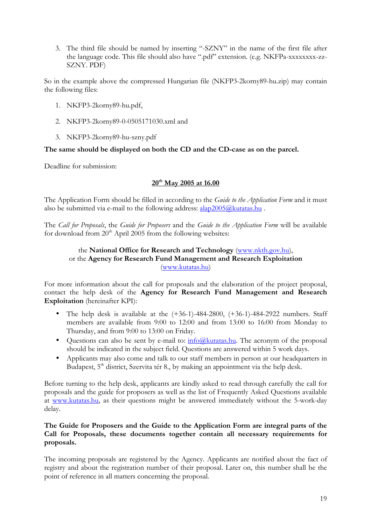3. The third file should be named by inserting "-SZNY" in the name of the first file after the language code. This file should also have ".pdf" extension. (e.g. NKFPa-xxxxxxxx-zz-SZNY. PDF)

So in the example above the compressed Hungarian file (NKFP3-2korny89-hu.zip) may contain the following files:

- 1. NKFP3-2korny89-hu.pdf,
- 2. NKFP3-2korny89-0-0505171030.xml and
- 3. NKFP3-2korny89-hu-szny.pdf

## **The same should be displayed on both the CD and the CD-case as on the parcel.**

Deadline for submission:

#### **20th May 2005 at 16.00**

The Application Form should be filled in according to the *Guide to the Application Form* and it must also be submitted via e-mail to the following address:  $alap2005@kutatas.hu$ .

The *Call for Proposals*, the *Guide for Proposers* and the *Guide to the Application Form* will be available for download from  $20<sup>th</sup>$  April 2005 from the following websites:

## the **National Office for Research and Technology** (www.nkth.gov.hu), or the **Agency for Research Fund Management and Research Exploitation**  (www.kutatas.hu)

For more information about the call for proposals and the elaboration of the project proposal, contact the help desk of the **Agency for Research Fund Management and Research Exploitation** (hereinafter KPI):

- The help desk is available at the  $(+36-1)-484-2800$ ,  $(+36-1)-484-2922$  numbers. Staff members are available from 9:00 to 12:00 and from 13:00 to 16:00 from Monday to Thursday, and from 9:00 to 13:00 on Friday.
- Questions can also be sent by e-mail to:  $\frac{info(\mathcal{Q})}{info(\mathcal{Q})}$  and the acronym of the proposal should be indicated in the subject field. Questions are answered within 5 work days.
- Applicants may also come and talk to our staff members in person at our headquarters in Budapest,  $5<sup>th</sup>$  district, Szervita tér 8., by making an appointment via the help desk.

Before turning to the help desk, applicants are kindly asked to read through carefully the call for proposals and the guide for proposers as well as the list of Frequently Asked Questions available at www.kutatas.hu, as their questions might be answered immediately without the 5-work-day delay.

#### **The Guide for Proposers and the Guide to the Application Form are integral parts of the Call for Proposals, these documents together contain all necessary requirements for proposals.**

The incoming proposals are registered by the Agency. Applicants are notified about the fact of registry and about the registration number of their proposal. Later on, this number shall be the point of reference in all matters concerning the proposal.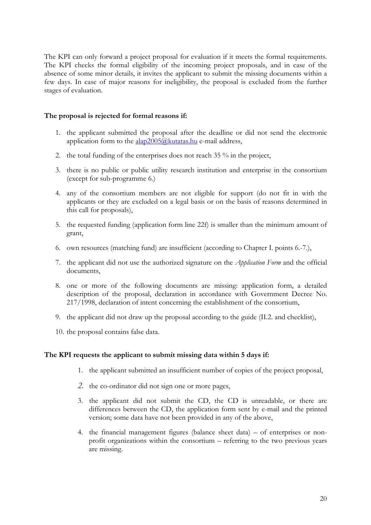The KPI can only forward a project proposal for evaluation if it meets the formal requirements. The KPI checks the formal eligibility of the incoming project proposals, and in case of the absence of some minor details, it invites the applicant to submit the missing documents within a few days. In case of major reasons for ineligibility, the proposal is excluded from the further stages of evaluation.

#### **The proposal is rejected for formal reasons if:**

- 1. the applicant submitted the proposal after the deadline or did not send the electronic application form to the  $alap2005@kutatas.hu$  e-mail address,
- 2. the total funding of the enterprises does not reach 35 % in the project,
- 3. there is no public or public utility research institution and enterprise in the consortium (except for sub-programme 6.)
- 4. any of the consortium members are not eligible for support (do not fit in with the applicants or they are excluded on a legal basis or on the basis of reasons determined in this call for proposals),
- 5. the requested funding (application form line 22f) is smaller than the minimum amount of grant,
- 6. own resources (matching fund) are insufficient (according to Chapter I. points 6.-7.),
- 7. the applicant did not use the authorized signature on the *Application Form* and the official documents,
- 8. one or more of the following documents are missing: application form, a detailed description of the proposal, declaration in accordance with Government Decree No. 217/1998, declaration of intent concerning the establishment of the consortium,
- 9. the applicant did not draw up the proposal according to the guide (II.2. and checklist),
- 10. the proposal contains false data.

#### **The KPI requests the applicant to submit missing data within 5 days if:**

- 1. the applicant submitted an insufficient number of copies of the project proposal,
- *2.* the co-ordinator did not sign one or more pages,
- 3. the applicant did not submit the CD, the CD is unreadable, or there are differences between the CD, the application form sent by e-mail and the printed version; some data have not been provided in any of the above,
- 4. the financial management figures (balance sheet data) of enterprises or nonprofit organizations within the consortium – referring to the two previous years are missing.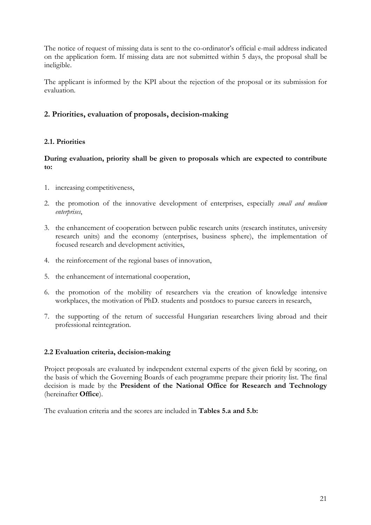The notice of request of missing data is sent to the co-ordinator's official e-mail address indicated on the application form. If missing data are not submitted within 5 days, the proposal shall be ineligible.

The applicant is informed by the KPI about the rejection of the proposal or its submission for evaluation.

## **2. Priorities, evaluation of proposals, decision-making**

## **2.1. Priorities**

**During evaluation, priority shall be given to proposals which are expected to contribute to:** 

- 1. increasing competitiveness,
- 2. the promotion of the innovative development of enterprises, especially *small and medium enterprises*,
- 3. the enhancement of cooperation between public research units (research institutes, university research units) and the economy (enterprises, business sphere), the implementation of focused research and development activities,
- 4. the reinforcement of the regional bases of innovation,
- 5. the enhancement of international cooperation,
- 6. the promotion of the mobility of researchers via the creation of knowledge intensive workplaces, the motivation of PhD. students and postdocs to pursue careers in research,
- 7. the supporting of the return of successful Hungarian researchers living abroad and their professional reintegration.

## **2.2 Evaluation criteria, decision-making**

Project proposals are evaluated by independent external experts of the given field by scoring, on the basis of which the Governing Boards of each programme prepare their priority list. The final decision is made by the **President of the National Office for Research and Technology** (hereinafter **Office**).

The evaluation criteria and the scores are included in **Tables 5.a and 5.b:**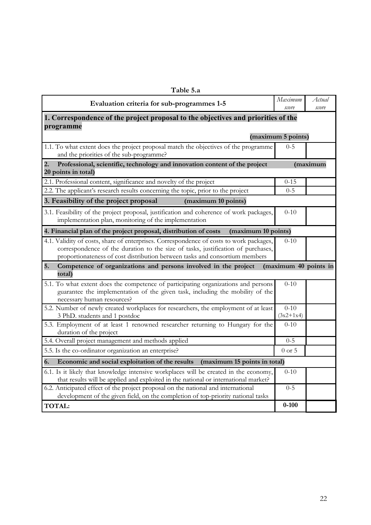| Table 5.a                                                                                                                                                                                                                                                  |                         |                 |
|------------------------------------------------------------------------------------------------------------------------------------------------------------------------------------------------------------------------------------------------------------|-------------------------|-----------------|
| Evaluation criteria for sub-programmes 1-5                                                                                                                                                                                                                 | Maximum<br>score        | Actual<br>score |
| 1. Correspondence of the project proposal to the objectives and priorities of the<br>programme                                                                                                                                                             |                         |                 |
|                                                                                                                                                                                                                                                            | (maximum 5 points)      |                 |
| 1.1. To what extent does the project proposal match the objectives of the programme<br>and the priorities of the sub-programme?                                                                                                                            | $0 - 5$                 |                 |
| $\overline{2}$ .<br>Professional, scientific, technology and innovation content of the project<br>20 points in total)                                                                                                                                      |                         | (maximum        |
| 2.1. Professional content, significance and novelty of the project                                                                                                                                                                                         | $0 - 15$                |                 |
| 2.2. The applicant's research results concerning the topic, prior to the project                                                                                                                                                                           | $0 - 5$                 |                 |
| 3. Feasibility of the project proposal<br>(maximum 10 points)                                                                                                                                                                                              |                         |                 |
| 3.1. Feasibility of the project proposal, justification and coherence of work packages,<br>implementation plan, monitoring of the implementation                                                                                                           | $0 - 10$                |                 |
| 4. Financial plan of the project proposal, distribution of costs<br>(maximum 10 points)                                                                                                                                                                    |                         |                 |
| 4.1. Validity of costs, share of enterprises. Correspondence of costs to work packages,<br>correspondence of the duration to the size of tasks, justification of purchases,<br>proportionateness of cost distribution between tasks and consortium members | $0-10$                  |                 |
| 5.<br>Competence of organizations and persons involved in the project<br>total)                                                                                                                                                                            | (maximum 40 points in   |                 |
| 5.1. To what extent does the competence of participating organizations and persons<br>guarantee the implementation of the given task, including the mobility of the<br>necessary human resources?                                                          | $0-10$                  |                 |
| 5.2. Number of newly created workplaces for researchers, the employment of at least<br>3 PhD. students and 1 postdoc                                                                                                                                       | $0 - 10$<br>$(3x2+1x4)$ |                 |
| 5.3. Employment of at least 1 renowned researcher returning to Hungary for the<br>duration of the project                                                                                                                                                  | $0 - 10$                |                 |
| 5.4. Overall project management and methods applied                                                                                                                                                                                                        | $0 - 5$                 |                 |
| 5.5. Is the co-ordinator organization an enterprise?                                                                                                                                                                                                       | $0$ or 5                |                 |
| Economic and social exploitation of the results<br>6.<br>(maximum 15 points in total)                                                                                                                                                                      |                         |                 |
| 6.1. Is it likely that knowledge intensive workplaces will be created in the economy,<br>that results will be applied and exploited in the national or international market?                                                                               | $0 - 10$                |                 |
| 6.2. Anticipated effect of the project proposal on the national and international<br>development of the given field, on the completion of top-priority national tasks                                                                                      | $0 - 5$                 |                 |
| <b>TOTAL:</b>                                                                                                                                                                                                                                              | $0 - 100$               |                 |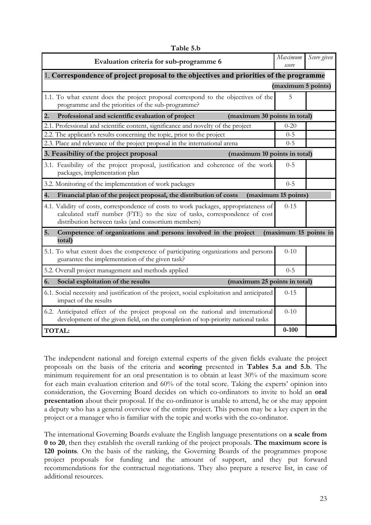| awil J.W                                                                                                                                                                                                                  | Maximum               | Score given |
|---------------------------------------------------------------------------------------------------------------------------------------------------------------------------------------------------------------------------|-----------------------|-------------|
| Evaluation criteria for sub-programme 6                                                                                                                                                                                   | score                 |             |
| 1. Correspondence of project proposal to the objectives and priorities of the programme                                                                                                                                   |                       |             |
|                                                                                                                                                                                                                           | (maximum 5 points)    |             |
| 1.1. To what extent does the project proposal correspond to the objectives of the<br>programme and the priorities of the sub-programme?                                                                                   | 5                     |             |
| 2.<br>Professional and scientific evaluation of project<br>(maximum 30 points in total)                                                                                                                                   |                       |             |
| 2.1. Professional and scientific content, significance and novelty of the project                                                                                                                                         | $0 - 20$              |             |
| 2.2. The applicant's results concerning the topic, prior to the project                                                                                                                                                   | $0 - 5$               |             |
| 2.3. Place and relevance of the project proposal in the international arena                                                                                                                                               | $0 - 5$               |             |
| 3. Feasibility of the project proposal<br>(maximum 10 points in total)                                                                                                                                                    |                       |             |
| 3.1. Feasibility of the project proposal, justification and coherence of the work<br>packages, implementation plan                                                                                                        | $0 - 5$               |             |
| 3.2. Monitoring of the implementation of work packages                                                                                                                                                                    | $0 - 5$               |             |
| 4.<br>Financial plan of the project proposal, the distribution of costs                                                                                                                                                   | (maximum 15 points)   |             |
| 4.1. Validity of costs, correspondence of costs to work packages, appropriateness of<br>calculated staff number (FTE) to the size of tasks, correspondence of cost<br>distribution between tasks (and consortium members) | $0 - 15$              |             |
| 5.<br>Competence of organizations and persons involved in the project<br>total)                                                                                                                                           | (maximum 15 points in |             |
| 5.1. To what extent does the competence of participating organizations and persons<br>guarantee the implementation of the given task?                                                                                     | $0-10$                |             |
| 5.2. Overall project management and methods applied                                                                                                                                                                       | $0 - 5$               |             |
| 6.<br>Social exploitation of the results<br>(maximum 25 points in total)                                                                                                                                                  |                       |             |
| 6.1. Social necessity and justification of the project, social exploitation and anticipated<br>impact of the results                                                                                                      | $0 - 15$              |             |
| 6.2. Anticipated effect of the project proposal on the national and international<br>development of the given field, on the completion of top-priority national tasks                                                     | $0 - 10$              |             |
| <b>TOTAL:</b>                                                                                                                                                                                                             | $0 - 100$             |             |

**Table 5.b** 

The independent national and foreign external experts of the given fields evaluate the project proposals on the basis of the criteria and **scoring** presented in **Tables 5.a and 5.b**. The minimum requirement for an oral presentation is to obtain at least 30% of the maximum score for each main evaluation criterion and 60% of the total score. Taking the experts' opinion into consideration, the Governing Board decides on which co-ordinators to invite to hold an **oral presentation** about their proposal. If the co-ordinator is unable to attend, he or she may appoint a deputy who has a general overview of the entire project. This person may be a key expert in the project or a manager who is familiar with the topic and works with the co-ordinator.

The international Governing Boards evaluate the English language presentations on **a scale from 0 to 20**, then they establish the overall ranking of the project proposals. **The maximum score is 120 points**. On the basis of the ranking, the Governing Boards of the programmes propose project proposals for funding and the amount of support, and they put forward recommendations for the contractual negotiations. They also prepare a reserve list, in case of additional resources.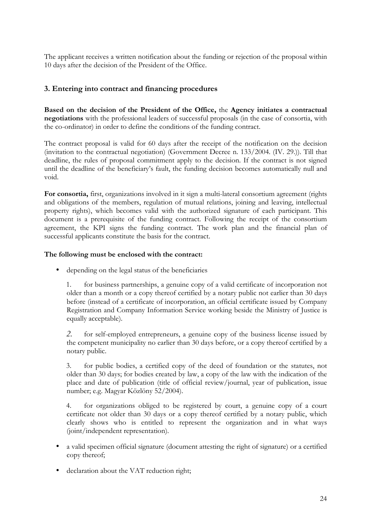The applicant receives a written notification about the funding or rejection of the proposal within 10 days after the decision of the President of the Office.

## **3. Entering into contract and financing procedures**

**Based on the decision of the President of the Office,** the **Agency initiates a contractual negotiations** with the professional leaders of successful proposals (in the case of consortia, with the co-ordinator) in order to define the conditions of the funding contract.

The contract proposal is valid for 60 days after the receipt of the notification on the decision (invitation to the contractual negotiation) (Government Decree n. 133/2004. (IV. 29.)). Till that deadline, the rules of proposal commitment apply to the decision. If the contract is not signed until the deadline of the beneficiary's fault, the funding decision becomes automatically null and void.

**For consortia,** first, organizations involved in it sign a multi-lateral consortium agreement (rights and obligations of the members, regulation of mutual relations, joining and leaving, intellectual property rights), which becomes valid with the authorized signature of each participant. This document is a prerequisite of the funding contract. Following the receipt of the consortium agreement, the KPI signs the funding contract. The work plan and the financial plan of successful applicants constitute the basis for the contract.

## **The following must be enclosed with the contract:**

• depending on the legal status of the beneficiaries

1. for business partnerships, a genuine copy of a valid certificate of incorporation not older than a month or a copy thereof certified by a notary public not earlier than 30 days before (instead of a certificate of incorporation, an official certificate issued by Company Registration and Company Information Service working beside the Ministry of Justice is equally acceptable).

*2.* for self-employed entrepreneurs, a genuine copy of the business license issued by the competent municipality no earlier than 30 days before, or a copy thereof certified by a notary public.

3. for public bodies, a certified copy of the deed of foundation or the statutes, not older than 30 days; for bodies created by law, a copy of the law with the indication of the place and date of publication (title of official review/journal, year of publication, issue number; e.g. Magyar Közlöny 52/2004).

4. for organizations obliged to be registered by court, a genuine copy of a court certificate not older than 30 days or a copy thereof certified by a notary public, which clearly shows who is entitled to represent the organization and in what ways (joint/independent representation).

- a valid specimen official signature (document attesting the right of signature) or a certified copy thereof;
- declaration about the VAT reduction right;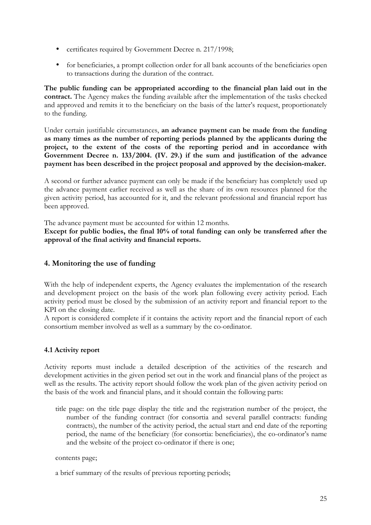- certificates required by Government Decree n. 217/1998;
- for beneficiaries, a prompt collection order for all bank accounts of the beneficiaries open to transactions during the duration of the contract.

**The public funding can be appropriated according to the financial plan laid out in the contract.** The Agency makes the funding available after the implementation of the tasks checked and approved and remits it to the beneficiary on the basis of the latter's request, proportionately to the funding.

Under certain justifiable circumstances, **an advance payment can be made from the funding as many times as the number of reporting periods planned by the applicants during the project, to the extent of the costs of the reporting period and in accordance with Government Decree n. 133/2004. (IV. 29.) if the sum and justification of the advance payment has been described in the project proposal and approved by the decision-maker.**

A second or further advance payment can only be made if the beneficiary has completely used up the advance payment earlier received as well as the share of its own resources planned for the given activity period, has accounted for it, and the relevant professional and financial report has been approved.

The advance payment must be accounted for within 12 months.

**Except for public bodies, the final 10% of total funding can only be transferred after the approval of the final activity and financial reports.**

## **4. Monitoring the use of funding**

With the help of independent experts, the Agency evaluates the implementation of the research and development project on the basis of the work plan following every activity period. Each activity period must be closed by the submission of an activity report and financial report to the KPI on the closing date.

A report is considered complete if it contains the activity report and the financial report of each consortium member involved as well as a summary by the co-ordinator.

## **4.1 Activity report**

Activity reports must include a detailed description of the activities of the research and development activities in the given period set out in the work and financial plans of the project as well as the results. The activity report should follow the work plan of the given activity period on the basis of the work and financial plans, and it should contain the following parts:

title page: on the title page display the title and the registration number of the project, the number of the funding contract (for consortia and several parallel contracts: funding contracts), the number of the activity period, the actual start and end date of the reporting period, the name of the beneficiary (for consortia: beneficiaries), the co-ordinator's name and the website of the project co-ordinator if there is one;

#### contents page;

a brief summary of the results of previous reporting periods;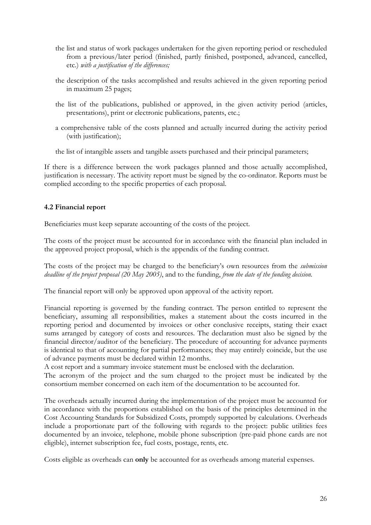- the list and status of work packages undertaken for the given reporting period or rescheduled from a previous/later period (finished, partly finished, postponed, advanced, cancelled, etc.) *with a justification of the differences;*
- the description of the tasks accomplished and results achieved in the given reporting period in maximum 25 pages;
- the list of the publications, published or approved, in the given activity period (articles, presentations), print or electronic publications, patents, etc.;
- a comprehensive table of the costs planned and actually incurred during the activity period (with justification);

the list of intangible assets and tangible assets purchased and their principal parameters;

If there is a difference between the work packages planned and those actually accomplished, justification is necessary. The activity report must be signed by the co-ordinator. Reports must be complied according to the specific properties of each proposal.

## **4.2 Financial report**

Beneficiaries must keep separate accounting of the costs of the project.

The costs of the project must be accounted for in accordance with the financial plan included in the approved project proposal, which is the appendix of the funding contract.

The costs of the project may be charged to the beneficiary's own resources from the *submission deadline of the project proposal (20 May 2005)*, and to the funding, *from the date of the funding decision.* 

The financial report will only be approved upon approval of the activity report.

Financial reporting is governed by the funding contract. The person entitled to represent the beneficiary, assuming all responsibilities, makes a statement about the costs incurred in the reporting period and documented by invoices or other conclusive receipts, stating their exact sums arranged by category of costs and resources. The declaration must also be signed by the financial director/auditor of the beneficiary. The procedure of accounting for advance payments is identical to that of accounting for partial performances; they may entirely coincide, but the use of advance payments must be declared within 12 months.

A cost report and a summary invoice statement must be enclosed with the declaration.

The acronym of the project and the sum charged to the project must be indicated by the consortium member concerned on each item of the documentation to be accounted for.

The overheads actually incurred during the implementation of the project must be accounted for in accordance with the proportions established on the basis of the principles determined in the Cost Accounting Standards for Subsidized Costs, promptly supported by calculations. Overheads include a proportionate part of the following with regards to the project: public utilities fees documented by an invoice, telephone, mobile phone subscription (pre-paid phone cards are not eligible), internet subscription fee, fuel costs, postage, rents, etc.

Costs eligible as overheads can **only** be accounted for as overheads among material expenses.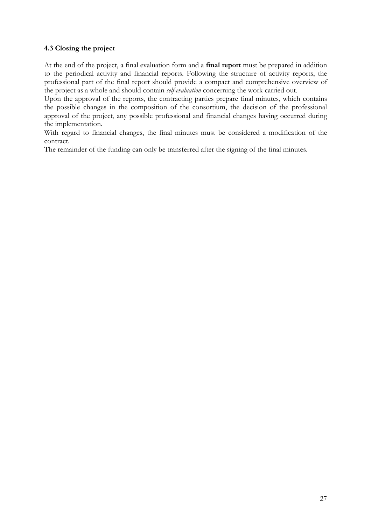## **4.3 Closing the project**

At the end of the project, a final evaluation form and a **final report** must be prepared in addition to the periodical activity and financial reports. Following the structure of activity reports, the professional part of the final report should provide a compact and comprehensive overview of the project as a whole and should contain *self-evaluation* concerning the work carried out.

Upon the approval of the reports, the contracting parties prepare final minutes, which contains the possible changes in the composition of the consortium, the decision of the professional approval of the project, any possible professional and financial changes having occurred during the implementation.

With regard to financial changes, the final minutes must be considered a modification of the contract.

The remainder of the funding can only be transferred after the signing of the final minutes.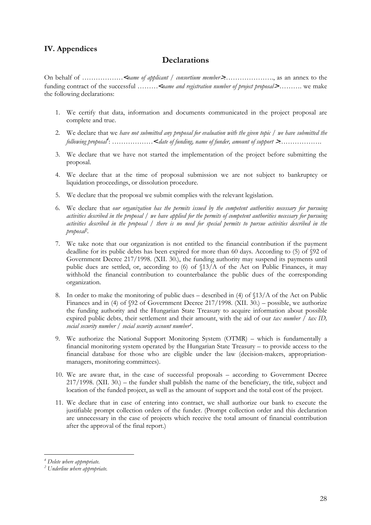## **IV. Appendices**

## **Declarations**

On behalf of ………………<*name of applicant / consortium member*>…………………., as an annex to the funding contract of the successful ………<*name and registration number of project proposal*<sup>&</sup>gt; ………. we make the following declarations:

- 1. We certify that data, information and documents communicated in the project proposal are complete and true.
- 2. We declare that we *have not submitted any proposal for evaluation with the given topic* / *we have submitted the following proposal4* : ………………< *date of funding, name of funder, amount of support* >……………….
- 3. We declare that we have not started the implementation of the project before submitting the proposal.
- 4. We declare that at the time of proposal submission we are not subject to bankruptcy or liquidation proceedings, or dissolution procedure.
- 5. We declare that the proposal we submit complies with the relevant legislation.
- 6. We declare that *our organization has the permits issued by the competent authorities necessary for pursuing activities described in the proposal / we have applied for the permits of competent authorities necessary for pursuing activities described in the proposal / there is no need for special permits to pursue activities described in the proposal2.*
- 7. We take note that our organization is not entitled to the financial contribution if the payment deadline for its public debts has been expired for more than 60 days. According to (5) of §92 of Government Decree 217/1998. (XII. 30.), the funding authority may suspend its payments until public dues are settled, or, according to (6) of §13/A of the Act on Public Finances, it may withhold the financial contribution to counterbalance the public dues of the corresponding organization.
- 8. In order to make the monitoring of public dues described in (4) of  $\frac{13}{A}$  of the Act on Public Finances and in (4) of §92 of Government Decree 217/1998. (XII. 30.) – possible, we authorize the funding authority and the Hungarian State Treasury to acquire information about possible expired public debts, their settlement and their amount, with the aid of our *tax number*  $\int$  *tax ID*, *social security number / social security account number1*.
- 9. We authorize the National Support Monitoring System (OTMR) which is fundamentally a financial monitoring system operated by the Hungarian State Treasury – to provide access to the financial database for those who are eligible under the law (decision-makers, appropriationmanagers, monitoring committees).
- 10. We are aware that, in the case of successful proposals according to Government Decree 217/1998. (XII. 30.) – the funder shall publish the name of the beneficiary, the title, subject and location of the funded project, as well as the amount of support and the total cost of the project.
- 11. We declare that in case of entering into contract, we shall authorize our bank to execute the justifiable prompt collection orders of the funder. (Prompt collection order and this declaration are unnecessary in the case of projects which receive the total amount of financial contribution after the approval of the final report.)

*<sup>4</sup> Delete where appropriate.*

*<sup>2</sup> Underline where appropriate.*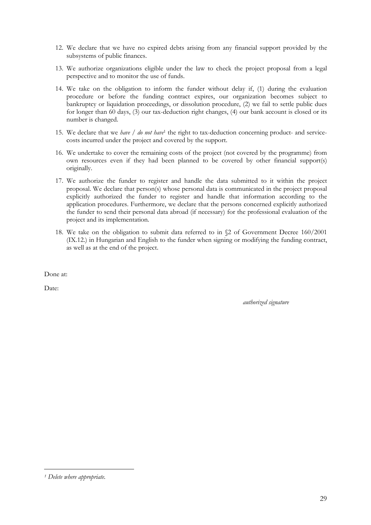- 12. We declare that we have no expired debts arising from any financial support provided by the subsystems of public finances.
- 13. We authorize organizations eligible under the law to check the project proposal from a legal perspective and to monitor the use of funds.
- 14. We take on the obligation to inform the funder without delay if, (1) during the evaluation procedure or before the funding contract expires, our organization becomes subject to bankruptcy or liquidation proceedings, or dissolution procedure, (2) we fail to settle public dues for longer than 60 days, (3) our tax-deduction right changes, (4) our bank account is closed or its number is changed.
- 15. We declare that we *have / do not have*<sup>1</sup> the right to tax-deduction concerning product- and servicecosts incurred under the project and covered by the support.
- 16. We undertake to cover the remaining costs of the project (not covered by the programme) from own resources even if they had been planned to be covered by other financial support(s) originally.
- 17. We authorize the funder to register and handle the data submitted to it within the project proposal. We declare that person(s) whose personal data is communicated in the project proposal explicitly authorized the funder to register and handle that information according to the application procedures. Furthermore, we declare that the persons concerned explicitly authorized the funder to send their personal data abroad (if necessary) for the professional evaluation of the project and its implementation.
- 18. We take on the obligation to submit data referred to in §2 of Government Decree 160/2001 (IX.12.) in Hungarian and English to the funder when signing or modifying the funding contract, as well as at the end of the project.

Done at:

Date:

*authorized signature*

*<sup>1</sup> Delete where appropriate.*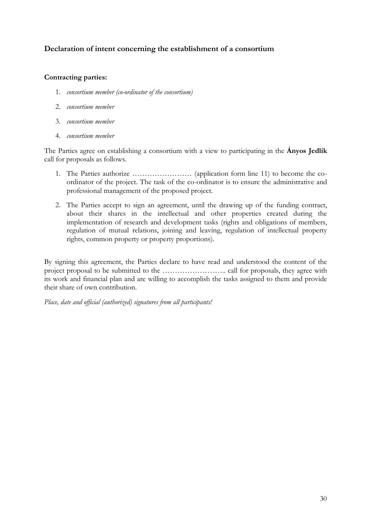## **Declaration of intent concerning the establishment of a consortium**

## **Contracting parties:**

- 1. *consortium member (co-ordinator of the consortium)*
- 2. *consortium member*
- 3. *consortium member*
- 4. *consortium member*

The Parties agree on establishing a consortium with a view to participating in the **Ányos Jedlik** call for proposals as follows.

- 1. The Parties authorize …………………… (application form line 11) to become the coordinator of the project. The task of the co-ordinator is to ensure the administrative and professional management of the proposed project.
- 2. The Parties accept to sign an agreement, until the drawing up of the funding contract, about their shares in the intellectual and other properties created during the implementation of research and development tasks (rights and obligations of members, regulation of mutual relations, joining and leaving, regulation of intellectual property rights, common property or property proportions).

By signing this agreement, the Parties declare to have read and understood the content of the project proposal to be submitted to the …………………….. call for proposals, they agree with its work and financial plan and are willing to accomplish the tasks assigned to them and provide their share of own contribution.

*Place, date and official (authorized) signatures from all participants!*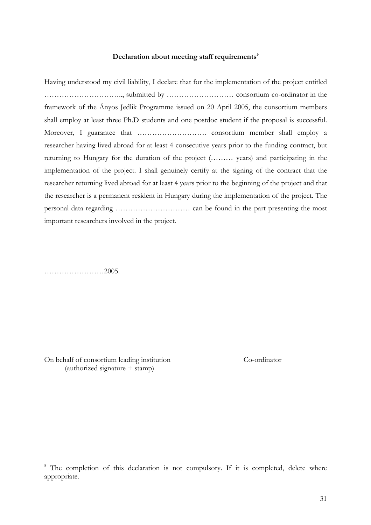#### Declaration about meeting staff requirements<sup>5</sup>

Having understood my civil liability, I declare that for the implementation of the project entitled ………………………….., submitted by ……………………… consortium co-ordinator in the framework of the Ányos Jedlik Programme issued on 20 April 2005, the consortium members shall employ at least three Ph.D students and one postdoc student if the proposal is successful. Moreover, I guarantee that ………………………. consortium member shall employ a researcher having lived abroad for at least 4 consecutive years prior to the funding contract, but returning to Hungary for the duration of the project (……… years) and participating in the implementation of the project. I shall genuinely certify at the signing of the contract that the researcher returning lived abroad for at least 4 years prior to the beginning of the project and that the researcher is a permanent resident in Hungary during the implementation of the project. The personal data regarding ………………………… can be found in the part presenting the most important researchers involved in the project.

……………………2005.

On behalf of consortium leading institution Co-ordinator (authorized signature + stamp)

 $5$  The completion of this declaration is not compulsory. If it is completed, delete where appropriate.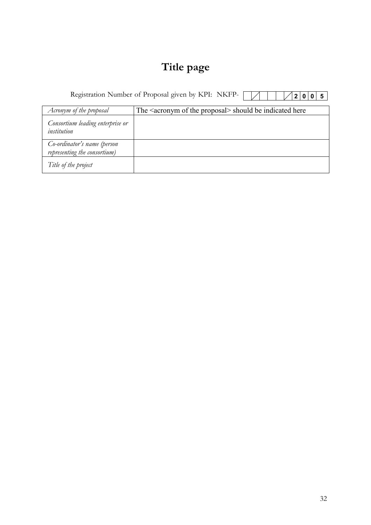## **Title page**

Registration Number of Proposal given by KPI: NKFP-**2 0 0 5**

| Acronym of the proposal                                     | The <acronym of="" proposal="" the=""> should be indicated here</acronym> |
|-------------------------------------------------------------|---------------------------------------------------------------------------|
| Consortium leading enterprise or<br>institution             |                                                                           |
| Co-ordinator's name (person<br>representing the consortium) |                                                                           |
| Title of the project                                        |                                                                           |